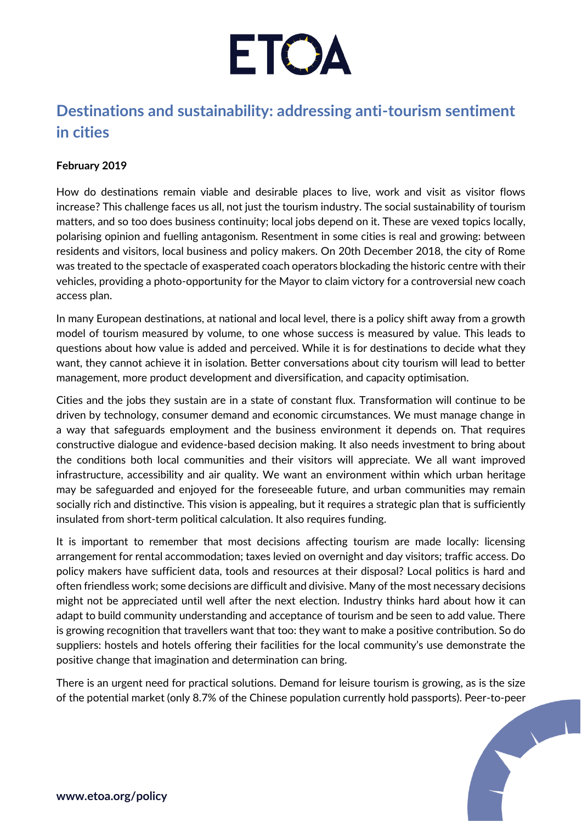

## **Destinations and sustainability: addressing anti-tourism sentiment in cities**

## **February 2019**

How do destinations remain viable and desirable places to live, work and visit as visitor flows increase? This challenge faces us all, not just the tourism industry. The social sustainability of tourism matters, and so too does business continuity; local jobs depend on it. These are vexed topics locally, polarising opinion and fuelling antagonism. Resentment in some cities is real and growing: between residents and visitors, local business and policy makers. On 20th December 2018, the city of Rome was treated to the spectacle of exasperated coach operators blockading the historic centre with their vehicles, providing a photo-opportunity for the Mayor to claim victory for a controversial new coach access plan.

In many European destinations, at national and local level, there is a policy shift away from a growth model of tourism measured by volume, to one whose success is measured by value. This leads to questions about how value is added and perceived. While it is for destinations to decide what they want, they cannot achieve it in isolation. Better conversations about city tourism will lead to better management, more product development and diversification, and capacity optimisation.

Cities and the jobs they sustain are in a state of constant flux. Transformation will continue to be driven by technology, consumer demand and economic circumstances. We must manage change in a way that safeguards employment and the business environment it depends on. That requires constructive dialogue and evidence-based decision making. It also needs investment to bring about the conditions both local communities and their visitors will appreciate. We all want improved infrastructure, accessibility and air quality. We want an environment within which urban heritage may be safeguarded and enjoyed for the foreseeable future, and urban communities may remain socially rich and distinctive. This vision is appealing, but it requires a strategic plan that is sufficiently insulated from short-term political calculation. It also requires funding.

It is important to remember that most decisions affecting tourism are made locally: licensing arrangement for rental accommodation; taxes levied on overnight and day visitors; traffic access. Do policy makers have sufficient data, tools and resources at their disposal? Local politics is hard and often friendless work; some decisions are difficult and divisive. Many of the most necessary decisions might not be appreciated until well after the next election. Industry thinks hard about how it can adapt to build community understanding and acceptance of tourism and be seen to add value. There is growing recognition that travellers want that too: they want to make a positive contribution. So do suppliers: hostels and hotels offering their facilities for the local community's use demonstrate the positive change that imagination and determination can bring.

There is an urgent need for practical solutions. Demand for leisure tourism is growing, as is the size of the potential market (only 8.7% of the Chinese population currently hold passports). Peer-to-peer

 $\sqrt{1}$